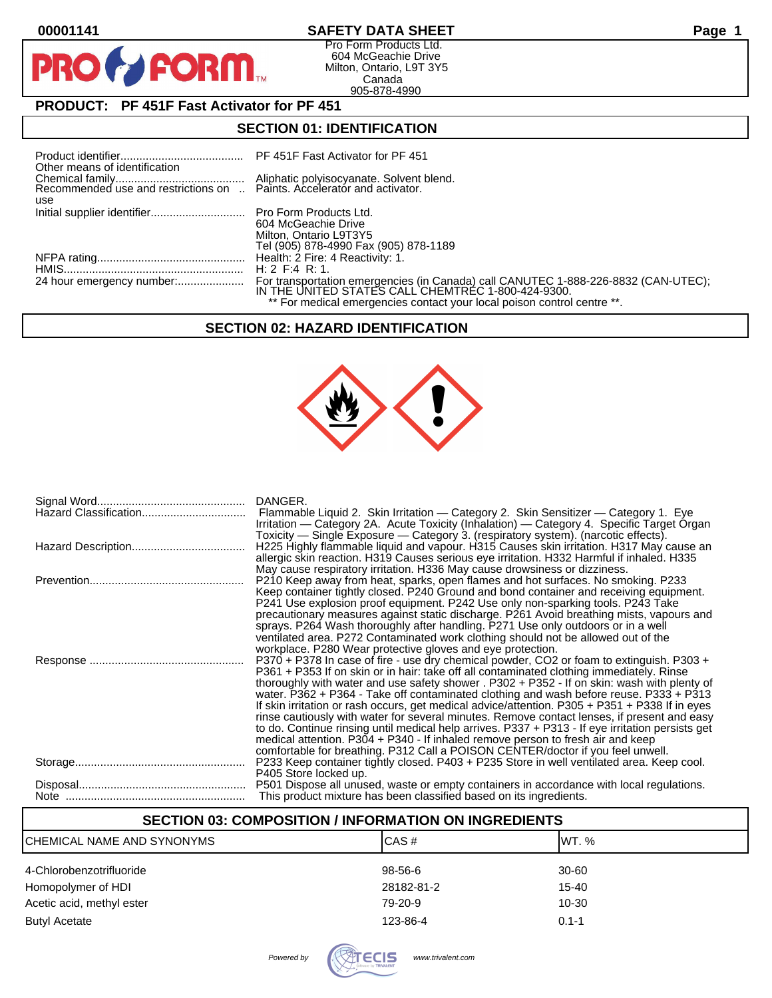$\mathbf O$ 

PR

# **00001141 SAFETY DATA SHEET Page 1**

Pro Form Products Ltd. 604 McGeachie Drive Milton, Ontario, L9T 3Y5 Canada 905-878-4990

# **PRODUCT: PF 451F Fast Activator for PF 451**

**FORM** 

#### **SECTION 01: IDENTIFICATION**

| Other means of identification |                                                                                                                                                                                                                     |
|-------------------------------|---------------------------------------------------------------------------------------------------------------------------------------------------------------------------------------------------------------------|
| use                           |                                                                                                                                                                                                                     |
|                               | 604 McGeachie Drive<br>Milton, Ontario L9T3Y5<br>Tel (905) 878-4990 Fax (905) 878-1189                                                                                                                              |
|                               | H: 2 F: 4 R: 1.                                                                                                                                                                                                     |
|                               | For transportation emergencies (in Canada) call CANUTEC 1-888-226-8832 (CAN-UTEC);<br>IN THE UNITED STATES CALL CHEMTREC 1-800-424-9300.<br>** For medical emergencies contact your local poison control centre **. |

## **SECTION 02: HAZARD IDENTIFICATION**



| DANGER.<br>Flammable Liquid 2. Skin Irritation — Category 2. Skin Sensitizer — Category 1. Eye<br>Irritation — Category 2A. Acute Toxicity (Inhalation) — Category 4. Specific Target Organ                                                                                                                                                                                                                                                                                                                                                                                                                                                                                                                                                                                                                                                              |
|----------------------------------------------------------------------------------------------------------------------------------------------------------------------------------------------------------------------------------------------------------------------------------------------------------------------------------------------------------------------------------------------------------------------------------------------------------------------------------------------------------------------------------------------------------------------------------------------------------------------------------------------------------------------------------------------------------------------------------------------------------------------------------------------------------------------------------------------------------|
| Toxicity — Single Exposure — Category 3. (respiratory system). (narcotic effects).<br>H225 Highly flammable liquid and vapour. H315 Causes skin irritation. H317 May cause an<br>allergic skin reaction. H319 Causes serious eye irritation. H332 Harmful if inhaled. H335                                                                                                                                                                                                                                                                                                                                                                                                                                                                                                                                                                               |
| May cause respiratory irritation. H336 May cause drowsiness or dizziness.<br>P210 Keep away from heat, sparks, open flames and hot surfaces. No smoking. P233<br>Keep container tightly closed. P240 Ground and bond container and receiving equipment.<br>P241 Use explosion proof equipment. P242 Use only non-sparking tools. P243 Take<br>precautionary measures against static discharge. P261 Avoid breathing mists, vapours and<br>sprays. P264 Wash thoroughly after handling. P271 Use only outdoors or in a well<br>ventilated area. P272 Contaminated work clothing should not be allowed out of the<br>workplace. P280 Wear protective gloves and eye protection.                                                                                                                                                                            |
| P370 + P378 In case of fire - use dry chemical powder, CO2 or foam to extinguish. P303 +<br>P361 + P353 If on skin or in hair: take off all contaminated clothing immediately. Rinse<br>thoroughly with water and use safety shower . P302 + P352 - If on skin: wash with plenty of<br>water. P362 + P364 - Take off contaminated clothing and wash before reuse. P333 + P313<br>If skin irritation or rash occurs, get medical advice/attention. P305 + P351 + P338 If in eyes<br>rinse cautiously with water for several minutes. Remove contact lenses, if present and easy<br>to do. Continue rinsing until medical help arrives. P337 + P313 - If eye irritation persists get<br>medical attention. P304 + P340 - If inhaled remove person to fresh air and keep<br>comfortable for breathing. P312 Call a POISON CENTER/doctor if you feel unwell. |
| P233 Keep container tightly closed. P403 + P235 Store in well ventilated area. Keep cool.<br>P405 Store locked up.                                                                                                                                                                                                                                                                                                                                                                                                                                                                                                                                                                                                                                                                                                                                       |
| P501 Dispose all unused, waste or empty containers in accordance with local regulations.<br>This product mixture has been classified based on its ingredients.                                                                                                                                                                                                                                                                                                                                                                                                                                                                                                                                                                                                                                                                                           |

# **SECTION 03: COMPOSITION / INFORMATION ON INGREDIENTS** CHEMICAL NAME AND SYNONYMS CHEMICAL NAME AND SYNONYMS 4-Chlorobenzotrifluoride 98-56-6 30-60 Homopolymer of HDI 28182-81-2 28182-81-2 Acetic acid, methyl ester **10-30** 10-30 Butyl Acetate **123-86-4** 0.1-1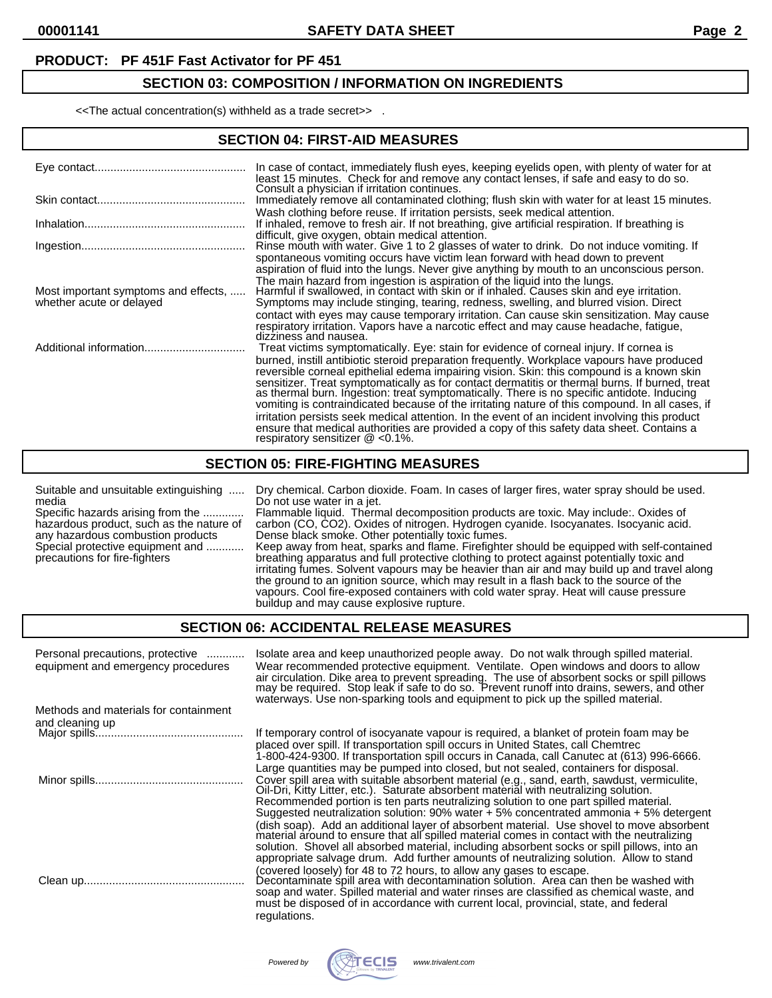#### **PRODUCT: PF 451F Fast Activator for PF 451**

## **SECTION 03: COMPOSITION / INFORMATION ON INGREDIENTS**

<<The actual concentration(s) withheld as a trade secret>> .

## **SECTION 04: FIRST-AID MEASURES**

|                                                                  | In case of contact, immediately flush eyes, keeping eyelids open, with plenty of water for at<br>least 15 minutes. Check for and remove any contact lenses, if safe and easy to do so.<br>Consult a physician if irritation continues.                                                                                                                                                                                                                                                                                                                                                                                                                                                                                                                                                                                   |
|------------------------------------------------------------------|--------------------------------------------------------------------------------------------------------------------------------------------------------------------------------------------------------------------------------------------------------------------------------------------------------------------------------------------------------------------------------------------------------------------------------------------------------------------------------------------------------------------------------------------------------------------------------------------------------------------------------------------------------------------------------------------------------------------------------------------------------------------------------------------------------------------------|
|                                                                  | Immediately remove all contaminated clothing; flush skin with water for at least 15 minutes.                                                                                                                                                                                                                                                                                                                                                                                                                                                                                                                                                                                                                                                                                                                             |
|                                                                  | Wash clothing before reuse. If irritation persists, seek medical attention.<br>If inhaled, remove to fresh air. If not breathing, give artificial respiration. If breathing is                                                                                                                                                                                                                                                                                                                                                                                                                                                                                                                                                                                                                                           |
|                                                                  | difficult, give oxygen, obtain medical attention.<br>Rinse mouth with water. Give 1 to 2 glasses of water to drink. Do not induce vomiting. If                                                                                                                                                                                                                                                                                                                                                                                                                                                                                                                                                                                                                                                                           |
|                                                                  | spontaneous vomiting occurs have victim lean forward with head down to prevent<br>aspiration of fluid into the lungs. Never give anything by mouth to an unconscious person.                                                                                                                                                                                                                                                                                                                                                                                                                                                                                                                                                                                                                                             |
| Most important symptoms and effects,<br>whether acute or delayed | The main hazard from ingestion is aspiration of the liquid into the lungs.<br>Harmful if swallowed, in contact with skin or if inhaled. Causes skin and eye irritation.<br>Symptoms may include stinging, tearing, redness, swelling, and blurred vision. Direct                                                                                                                                                                                                                                                                                                                                                                                                                                                                                                                                                         |
|                                                                  | contact with eyes may cause temporary irritation. Can cause skin sensitization. May cause<br>respiratory irritation. Vapors have a narcotic effect and may cause headache, fatigue,<br>dizziness and nausea.                                                                                                                                                                                                                                                                                                                                                                                                                                                                                                                                                                                                             |
| Additional information                                           | Treat victims symptomatically. Eye: stain for evidence of corneal injury. If cornea is<br>burned, instill antibiotic steroid preparation frequently. Workplace vapours have produced<br>reversible corneal epithelial edema impairing vision. Skin: this compound is a known skin<br>sensitizer. Treat symptomatically as for contact dermatitis or thermal burns. If burned, treat<br>as thermal burn. Ingestion: treat symptomatically. There is no specific antidote. Inducing<br>vomiting is contraindicated because of the irritating nature of this compound. In all cases, if<br>irritation persists seek medical attention. In the event of an incident involving this product<br>ensure that medical authorities are provided a copy of this safety data sheet. Contains a<br>respiratory sensitizer $@$ <0.1%. |

#### **SECTION 05: FIRE-FIGHTING MEASURES**

| Suitable and unsuitable extinguishing<br>media<br>Specific hazards arising from the<br>hazardous product, such as the nature of<br>any hazardous combustion products<br>Special protective equipment and<br>precautions for fire-fighters | Dry chemical. Carbon dioxide. Foam. In cases of larger fires, water spray should be used.<br>Do not use water in a jet.<br>Flammable liquid. Thermal decomposition products are toxic. May include:. Oxides of<br>carbon (CO, CO2). Oxides of nitrogen. Hydrogen cyanide. Isocyanates. Isocyanic acid.<br>Dense black smoke. Other potentially toxic fumes.<br>Keep away from heat, sparks and flame. Firefighter should be equipped with self-contained<br>breathing apparatus and full protective clothing to protect against potentially toxic and<br>irritating fumes. Solvent vapours may be heavier than air and may build up and travel along<br>the ground to an ignition source, which may result in a flash back to the source of the<br>vapours. Cool fire-exposed containers with cold water spray. Heat will cause pressure<br>buildup and may cause explosive rupture. |
|-------------------------------------------------------------------------------------------------------------------------------------------------------------------------------------------------------------------------------------------|--------------------------------------------------------------------------------------------------------------------------------------------------------------------------------------------------------------------------------------------------------------------------------------------------------------------------------------------------------------------------------------------------------------------------------------------------------------------------------------------------------------------------------------------------------------------------------------------------------------------------------------------------------------------------------------------------------------------------------------------------------------------------------------------------------------------------------------------------------------------------------------|
|-------------------------------------------------------------------------------------------------------------------------------------------------------------------------------------------------------------------------------------------|--------------------------------------------------------------------------------------------------------------------------------------------------------------------------------------------------------------------------------------------------------------------------------------------------------------------------------------------------------------------------------------------------------------------------------------------------------------------------------------------------------------------------------------------------------------------------------------------------------------------------------------------------------------------------------------------------------------------------------------------------------------------------------------------------------------------------------------------------------------------------------------|

#### **SECTION 06: ACCIDENTAL RELEASE MEASURES**

| Personal precautions, protective<br>equipment and emergency procedures | Isolate area and keep unauthorized people away. Do not walk through spilled material.<br>Wear recommended protective equipment. Ventilate. Open windows and doors to allow<br>air circulation. Dike area to prevent spreading. The use of absorbent socks or spill pillows may be required. Stop leak if safe to do so. Prevent runoff into drains, sewers, and other<br>waterways. Use non-sparking tools and equipment to pick up the spilled material.                                                                                                    |
|------------------------------------------------------------------------|--------------------------------------------------------------------------------------------------------------------------------------------------------------------------------------------------------------------------------------------------------------------------------------------------------------------------------------------------------------------------------------------------------------------------------------------------------------------------------------------------------------------------------------------------------------|
| Methods and materials for containment                                  |                                                                                                                                                                                                                                                                                                                                                                                                                                                                                                                                                              |
| and cleaning up                                                        |                                                                                                                                                                                                                                                                                                                                                                                                                                                                                                                                                              |
|                                                                        | If temporary control of isocyanate vapour is required, a blanket of protein foam may be<br>placed over spill. If transportation spill occurs in United States, call Chemtrec<br>1-800-424-9300. If transportation spill occurs in Canada, call Canutec at (613) 996-6666.                                                                                                                                                                                                                                                                                    |
|                                                                        | Large quantities may be pumped into closed, but not sealed, containers for disposal.<br>Cover spill area with suitable absorbent material (e.g., sand, earth, sawdust, vermiculite,<br>Oil-Dri, Kitty Litter, etc.). Saturate absorbent material with neutralizing solution.<br>Recommended portion is ten parts neutralizing solution to one part spilled material.<br>Suggested neutralization solution: $90\%$ water + 5% concentrated ammonia + 5% detergent<br>(dish soap). Add an additional layer of absorbent material. Use shovel to move absorbent |
|                                                                        | material around to ensure that all spilled material comes in contact with the neutralizing<br>solution. Shovel all absorbed material, including absorbent socks or spill pillows, into an<br>appropriate salvage drum. Add further amounts of neutralizing solution. Allow to stand                                                                                                                                                                                                                                                                          |
|                                                                        | (covered loosely) for 48 to 72 hours, to allow any gases to escape.<br>Decontaminate spill area with decontamination solution. Area can then be washed with<br>soap and water. Spilled material and water rinses are classified as chemical waste, and<br>must be disposed of in accordance with current local, provincial, state, and federal<br>regulations.                                                                                                                                                                                               |

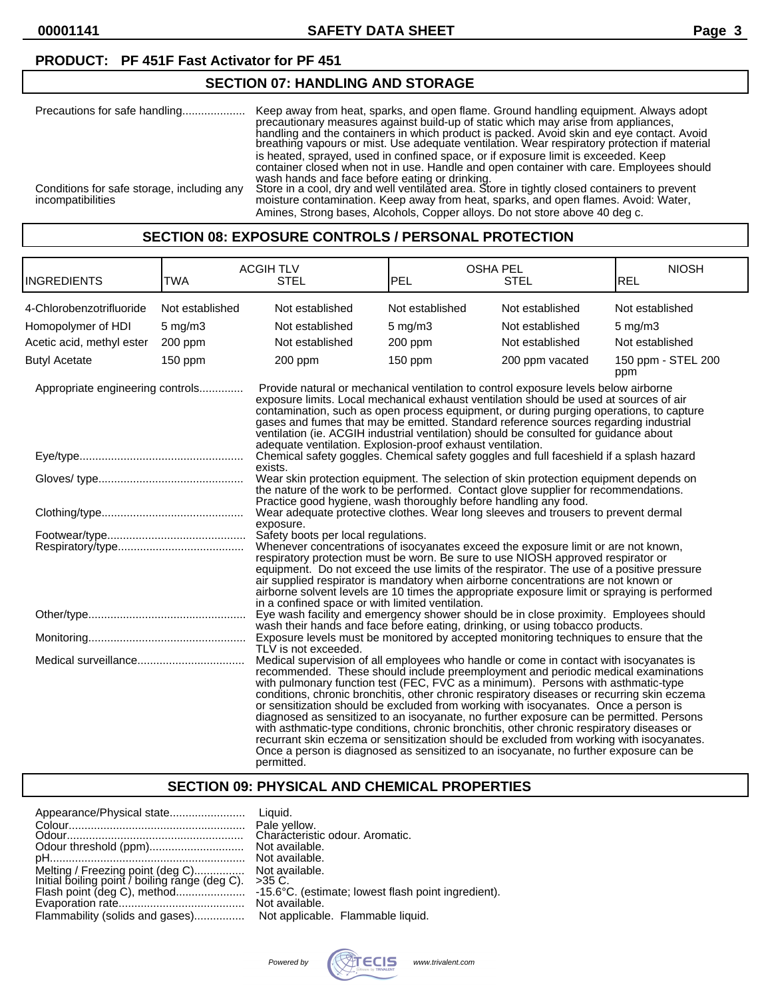**00001141 SAFETY DATA SHEET Page 3**

### **PRODUCT: PF 451F Fast Activator for PF 451**

## **SECTION 07: HANDLING AND STORAGE**

| Precautions for safe handling                                   | Keep away from heat, sparks, and open flame. Ground handling equipment. Always adopt<br>precautionary measures against build-up of static which may arise from appliances.<br>handling and the containers in which product is packed. Avoid skin and eye contact. Avoid<br>breathing vapours or mist. Use adequate ventilation. Wear respiratory protection if material                                                                                                                               |
|-----------------------------------------------------------------|-------------------------------------------------------------------------------------------------------------------------------------------------------------------------------------------------------------------------------------------------------------------------------------------------------------------------------------------------------------------------------------------------------------------------------------------------------------------------------------------------------|
| Conditions for safe storage, including any<br>incompatibilities | is heated, sprayed, used in confined space, or if exposure limit is exceeded. Keep<br>container closed when not in use. Handle and open container with care. Employees should<br>wash hands and face before eating or drinking.<br>Store in a cool, dry and well ventilated area. Store in tightly closed containers to prevent<br>moisture contamination. Keep away from heat, sparks, and open flames. Avoid: Water,<br>Amines, Strong bases, Alcohols, Copper alloys. Do not store above 40 deg c. |

#### **SECTION 08: EXPOSURE CONTROLS / PERSONAL PROTECTION**

| <b>INGREDIENTS</b>               | <b>TWA</b>                                                                                                                                                                                                                                                                                                                                                                                                                                                                                                                                                                                                                                                                                                                                                                                                                                        | <b>ACGIH TLV</b><br><b>STEL</b>                                                                                                                                                                                                                                                                                                                                                                                                                                                                                         | <b>OSHA PEL</b><br><b>PEL</b>                                                                                                                                                                                                                                                                                                                                                                                                                             | <b>STEL</b>     | <b>NIOSH</b><br><b>REL</b> |  |
|----------------------------------|---------------------------------------------------------------------------------------------------------------------------------------------------------------------------------------------------------------------------------------------------------------------------------------------------------------------------------------------------------------------------------------------------------------------------------------------------------------------------------------------------------------------------------------------------------------------------------------------------------------------------------------------------------------------------------------------------------------------------------------------------------------------------------------------------------------------------------------------------|-------------------------------------------------------------------------------------------------------------------------------------------------------------------------------------------------------------------------------------------------------------------------------------------------------------------------------------------------------------------------------------------------------------------------------------------------------------------------------------------------------------------------|-----------------------------------------------------------------------------------------------------------------------------------------------------------------------------------------------------------------------------------------------------------------------------------------------------------------------------------------------------------------------------------------------------------------------------------------------------------|-----------------|----------------------------|--|
| 4-Chlorobenzotrifluoride         | Not established                                                                                                                                                                                                                                                                                                                                                                                                                                                                                                                                                                                                                                                                                                                                                                                                                                   | Not established                                                                                                                                                                                                                                                                                                                                                                                                                                                                                                         | Not established                                                                                                                                                                                                                                                                                                                                                                                                                                           | Not established | Not established            |  |
| Homopolymer of HDI               | $5$ mg/m $3$                                                                                                                                                                                                                                                                                                                                                                                                                                                                                                                                                                                                                                                                                                                                                                                                                                      | Not established                                                                                                                                                                                                                                                                                                                                                                                                                                                                                                         | $5$ mg/m $3$                                                                                                                                                                                                                                                                                                                                                                                                                                              | Not established | $5$ mg/m $3$               |  |
| Acetic acid, methyl ester        | 200 ppm                                                                                                                                                                                                                                                                                                                                                                                                                                                                                                                                                                                                                                                                                                                                                                                                                                           | Not established                                                                                                                                                                                                                                                                                                                                                                                                                                                                                                         | 200 ppm                                                                                                                                                                                                                                                                                                                                                                                                                                                   | Not established | Not established            |  |
| <b>Butyl Acetate</b>             | 150 ppm                                                                                                                                                                                                                                                                                                                                                                                                                                                                                                                                                                                                                                                                                                                                                                                                                                           | 200 ppm                                                                                                                                                                                                                                                                                                                                                                                                                                                                                                                 | $150$ ppm                                                                                                                                                                                                                                                                                                                                                                                                                                                 | 200 ppm vacated | 150 ppm - STEL 200<br>ppm  |  |
| Appropriate engineering controls |                                                                                                                                                                                                                                                                                                                                                                                                                                                                                                                                                                                                                                                                                                                                                                                                                                                   | Provide natural or mechanical ventilation to control exposure levels below airborne<br>exposure limits. Local mechanical exhaust ventilation should be used at sources of air<br>contamination, such as open process equipment, or during purging operations, to capture<br>gases and fumes that may be emitted. Standard reference sources regarding industrial<br>ventilation (ie. ACGIH industrial ventilation) should be consulted for guidance about<br>adequate ventilation. Explosion-proof exhaust ventilation. |                                                                                                                                                                                                                                                                                                                                                                                                                                                           |                 |                            |  |
|                                  |                                                                                                                                                                                                                                                                                                                                                                                                                                                                                                                                                                                                                                                                                                                                                                                                                                                   | Chemical safety goggles. Chemical safety goggles and full faceshield if a splash hazard<br>exists.                                                                                                                                                                                                                                                                                                                                                                                                                      |                                                                                                                                                                                                                                                                                                                                                                                                                                                           |                 |                            |  |
|                                  |                                                                                                                                                                                                                                                                                                                                                                                                                                                                                                                                                                                                                                                                                                                                                                                                                                                   | Wear skin protection equipment. The selection of skin protection equipment depends on<br>the nature of the work to be performed. Contact glove supplier for recommendations.<br>Practice good hygiene, wash thoroughly before handling any food.                                                                                                                                                                                                                                                                        |                                                                                                                                                                                                                                                                                                                                                                                                                                                           |                 |                            |  |
|                                  |                                                                                                                                                                                                                                                                                                                                                                                                                                                                                                                                                                                                                                                                                                                                                                                                                                                   | exposure.                                                                                                                                                                                                                                                                                                                                                                                                                                                                                                               | Wear adequate protective clothes. Wear long sleeves and trousers to prevent dermal                                                                                                                                                                                                                                                                                                                                                                        |                 |                            |  |
|                                  | Safety boots per local regulations.<br>in a confined space or with limited ventilation.                                                                                                                                                                                                                                                                                                                                                                                                                                                                                                                                                                                                                                                                                                                                                           |                                                                                                                                                                                                                                                                                                                                                                                                                                                                                                                         | Whenever concentrations of isocyanates exceed the exposure limit or are not known,<br>respiratory protection must be worn. Be sure to use NIOSH approved respirator or<br>equipment. Do not exceed the use limits of the respirator. The use of a positive pressure<br>air supplied respirator is mandatory when airborne concentrations are not known or<br>airborne solvent levels are 10 times the appropriate exposure limit or spraying is performed |                 |                            |  |
|                                  |                                                                                                                                                                                                                                                                                                                                                                                                                                                                                                                                                                                                                                                                                                                                                                                                                                                   | Eye wash facility and emergency shower should be in close proximity. Employees should<br>wash their hands and face before eating, drinking, or using tobacco products.                                                                                                                                                                                                                                                                                                                                                  |                                                                                                                                                                                                                                                                                                                                                                                                                                                           |                 |                            |  |
|                                  |                                                                                                                                                                                                                                                                                                                                                                                                                                                                                                                                                                                                                                                                                                                                                                                                                                                   | Exposure levels must be monitored by accepted monitoring techniques to ensure that the<br>TLV is not exceeded.                                                                                                                                                                                                                                                                                                                                                                                                          |                                                                                                                                                                                                                                                                                                                                                                                                                                                           |                 |                            |  |
|                                  | Medical supervision of all employees who handle or come in contact with isocyanates is<br>recommended. These should include preemployment and periodic medical examinations<br>with pulmonary function test (FEC, FVC as a minimum). Persons with asthmatic-type<br>conditions, chronic bronchitis, other chronic respiratory diseases or recurring skin eczema<br>or sensitization should be excluded from working with isocyanates. Once a person is<br>diagnosed as sensitized to an isocyanate, no further exposure can be permitted. Persons<br>with asthmatic-type conditions, chronic bronchitis, other chronic respiratory diseases or<br>recurrant skin eczema or sensitization should be excluded from working with isocyanates.<br>Once a person is diagnosed as sensitized to an isocyanate, no further exposure can be<br>permitted. |                                                                                                                                                                                                                                                                                                                                                                                                                                                                                                                         |                                                                                                                                                                                                                                                                                                                                                                                                                                                           |                 |                            |  |

## **SECTION 09: PHYSICAL AND CHEMICAL PROPERTIES**

|                                                                                    | Pale yellow.<br>Characteristic odour. Aromatic.                                                     |
|------------------------------------------------------------------------------------|-----------------------------------------------------------------------------------------------------|
|                                                                                    | Not available.                                                                                      |
| Melting / Freezing point (deg C)<br>Initial boiling point / boiling range (deg C). | Not available.<br>$>35$ C.<br>-15.6°C. (estimate; lowest flash point ingredient).<br>Not available. |
| Flammability (solids and gases) Not applicable. Flammable liquid.                  |                                                                                                     |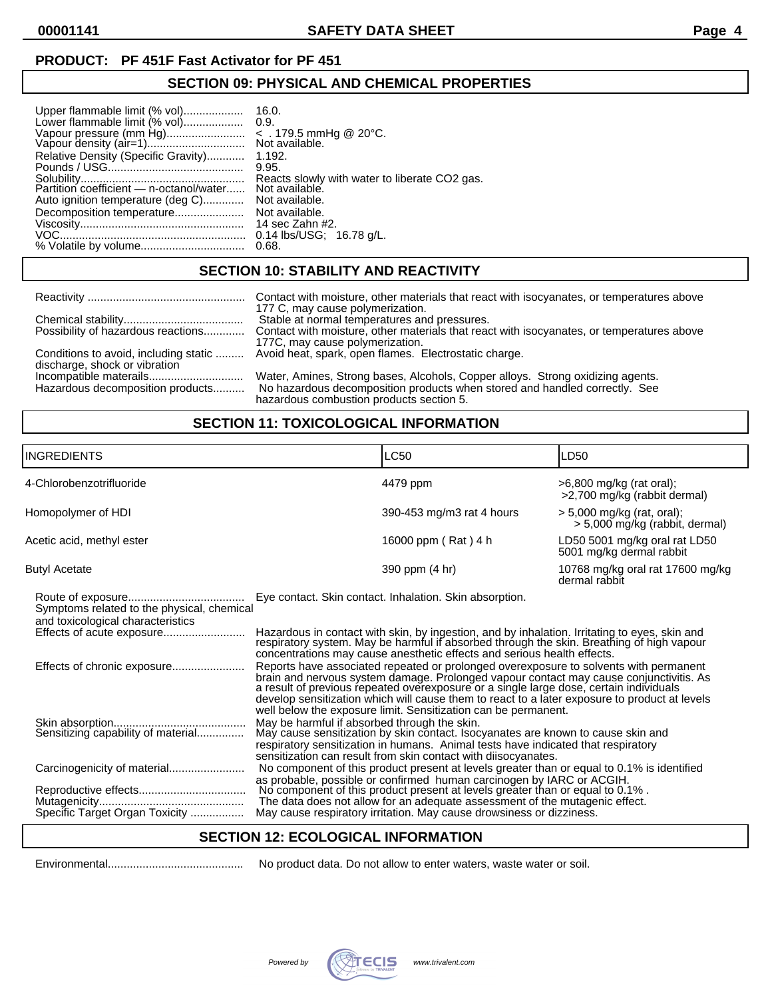#### **PRODUCT: PF 451F Fast Activator for PF 451**

## **SECTION 09: PHYSICAL AND CHEMICAL PROPERTIES**

| Upper flammable limit (% vol)       | 16.0.                                         |
|-------------------------------------|-----------------------------------------------|
| Lower flammable limit (% vol)       | 0.9.                                          |
| Vapour pressure (mm Hg)             | $\le$ . 179.5 mmHg @ 20°C.                    |
|                                     | Not available.                                |
|                                     |                                               |
| Relative Density (Specific Gravity) | 1.192.                                        |
|                                     | 9.95.                                         |
|                                     | Reacts slowly with water to liberate CO2 gas. |
|                                     | Not available.                                |
|                                     |                                               |
| Auto ignition temperature (deg C)   | Not available.                                |
| Decomposition temperature           | Not available.                                |
|                                     | 14 sec Zahn #2.                               |
|                                     | $0.14$ lbs/USG; $16.78$ g/L.                  |
|                                     | 0.68.                                         |

## **SECTION 10: STABILITY AND REACTIVITY**

|                                    | Contact with moisture, other materials that react with isocyanates, or temperatures above    |
|------------------------------------|----------------------------------------------------------------------------------------------|
|                                    | 177 C, may cause polymerization.<br>Stable at normal temperatures and pressures.             |
| Possibility of hazardous reactions | Contact with moisture, other materials that react with isocyanates, or temperatures above    |
|                                    | 177C, may cause polymerization.                                                              |
|                                    | Conditions to avoid, including static  Avoid heat, spark, open flames. Electrostatic charge. |
| discharge, shock or vibration      | Water, Amines, Strong bases, Alcohols, Copper alloys. Strong oxidizing agents.               |
| Hazardous decomposition products   | No hazardous decomposition products when stored and handled correctly. See                   |
|                                    | hazardous combustion products section 5.                                                     |

## **SECTION 11: TOXICOLOGICAL INFORMATION**

| <b>LC50</b><br>ILD50<br>4479 ppm<br>$>6,800$ mg/kg (rat oral);<br>>2,700 mg/kg (rabbit dermal)<br>390-453 mg/m3 rat 4 hours<br>$>$ 5,000 mg/kg (rat, oral);<br>> 5,000 mg/kg (rabbit, dermal)<br>LD50 5001 mg/kg oral rat LD50<br>16000 ppm (Rat) 4 h<br>5001 mg/kg dermal rabbit<br>390 ppm (4 hr)<br>10768 mg/kg oral rat 17600 mg/kg<br>dermal rabbit<br>Eye contact. Skin contact. Inhalation. Skin absorption.<br>Symptoms related to the physical, chemical<br>and toxicological characteristics<br>Hazardous in contact with skin, by ingestion, and by inhalation. Irritating to eyes, skin and<br>respiratory system. May be harmful if absorbed through the skin. Breathing of high vapour<br>concentrations may cause anesthetic effects and serious health effects.<br>Reports have associated repeated or prolonged overexposure to solvents with permanent<br>Effects of chronic exposure<br>brain and nervous system damage. Prolonged vapour contact may cause conjunctivitis. As a result of previous repeated overexposure or a single large dose, certain individuals<br>develop sensitization which will cause them to react to a later exposure to product at levels<br>well below the exposure limit. Sensitization can be permanent.<br>May be harmful if absorbed through the skin.<br>May cause sensitization by skin contact. Isocyanates are known to cause skin and<br>Sensitizing capability of material<br>respiratory sensitization in humans. Animal tests have indicated that respiratory<br>sensitization can result from skin contact with diisocyanates.<br>No component of this product present at levels greater than or equal to 0.1% is identified<br>as probable, possible or confirmed human carcinogen by IARC or ACGIH.<br>No component of this product present at levels greater than or equal to 0.1%.<br>The data does not allow for an adequate assessment of the mutagenic effect. |                           |  |  |  |
|-------------------------------------------------------------------------------------------------------------------------------------------------------------------------------------------------------------------------------------------------------------------------------------------------------------------------------------------------------------------------------------------------------------------------------------------------------------------------------------------------------------------------------------------------------------------------------------------------------------------------------------------------------------------------------------------------------------------------------------------------------------------------------------------------------------------------------------------------------------------------------------------------------------------------------------------------------------------------------------------------------------------------------------------------------------------------------------------------------------------------------------------------------------------------------------------------------------------------------------------------------------------------------------------------------------------------------------------------------------------------------------------------------------------------------------------------------------------------------------------------------------------------------------------------------------------------------------------------------------------------------------------------------------------------------------------------------------------------------------------------------------------------------------------------------------------------------------------------------------------------------------------------------------------------------------|---------------------------|--|--|--|
|                                                                                                                                                                                                                                                                                                                                                                                                                                                                                                                                                                                                                                                                                                                                                                                                                                                                                                                                                                                                                                                                                                                                                                                                                                                                                                                                                                                                                                                                                                                                                                                                                                                                                                                                                                                                                                                                                                                                     | <b>INGREDIENTS</b>        |  |  |  |
|                                                                                                                                                                                                                                                                                                                                                                                                                                                                                                                                                                                                                                                                                                                                                                                                                                                                                                                                                                                                                                                                                                                                                                                                                                                                                                                                                                                                                                                                                                                                                                                                                                                                                                                                                                                                                                                                                                                                     | 4-Chlorobenzotrifluoride  |  |  |  |
|                                                                                                                                                                                                                                                                                                                                                                                                                                                                                                                                                                                                                                                                                                                                                                                                                                                                                                                                                                                                                                                                                                                                                                                                                                                                                                                                                                                                                                                                                                                                                                                                                                                                                                                                                                                                                                                                                                                                     | Homopolymer of HDI        |  |  |  |
|                                                                                                                                                                                                                                                                                                                                                                                                                                                                                                                                                                                                                                                                                                                                                                                                                                                                                                                                                                                                                                                                                                                                                                                                                                                                                                                                                                                                                                                                                                                                                                                                                                                                                                                                                                                                                                                                                                                                     | Acetic acid, methyl ester |  |  |  |
|                                                                                                                                                                                                                                                                                                                                                                                                                                                                                                                                                                                                                                                                                                                                                                                                                                                                                                                                                                                                                                                                                                                                                                                                                                                                                                                                                                                                                                                                                                                                                                                                                                                                                                                                                                                                                                                                                                                                     | <b>Butyl Acetate</b>      |  |  |  |
|                                                                                                                                                                                                                                                                                                                                                                                                                                                                                                                                                                                                                                                                                                                                                                                                                                                                                                                                                                                                                                                                                                                                                                                                                                                                                                                                                                                                                                                                                                                                                                                                                                                                                                                                                                                                                                                                                                                                     |                           |  |  |  |
|                                                                                                                                                                                                                                                                                                                                                                                                                                                                                                                                                                                                                                                                                                                                                                                                                                                                                                                                                                                                                                                                                                                                                                                                                                                                                                                                                                                                                                                                                                                                                                                                                                                                                                                                                                                                                                                                                                                                     |                           |  |  |  |
|                                                                                                                                                                                                                                                                                                                                                                                                                                                                                                                                                                                                                                                                                                                                                                                                                                                                                                                                                                                                                                                                                                                                                                                                                                                                                                                                                                                                                                                                                                                                                                                                                                                                                                                                                                                                                                                                                                                                     |                           |  |  |  |
|                                                                                                                                                                                                                                                                                                                                                                                                                                                                                                                                                                                                                                                                                                                                                                                                                                                                                                                                                                                                                                                                                                                                                                                                                                                                                                                                                                                                                                                                                                                                                                                                                                                                                                                                                                                                                                                                                                                                     |                           |  |  |  |
|                                                                                                                                                                                                                                                                                                                                                                                                                                                                                                                                                                                                                                                                                                                                                                                                                                                                                                                                                                                                                                                                                                                                                                                                                                                                                                                                                                                                                                                                                                                                                                                                                                                                                                                                                                                                                                                                                                                                     |                           |  |  |  |
| Specific Target Organ Toxicity<br>May cause respiratory irritation. May cause drowsiness or dizziness.                                                                                                                                                                                                                                                                                                                                                                                                                                                                                                                                                                                                                                                                                                                                                                                                                                                                                                                                                                                                                                                                                                                                                                                                                                                                                                                                                                                                                                                                                                                                                                                                                                                                                                                                                                                                                              |                           |  |  |  |

#### **SECTION 12: ECOLOGICAL INFORMATION**

Environmental........................................... No product data. Do not allow to enter waters, waste water or soil.